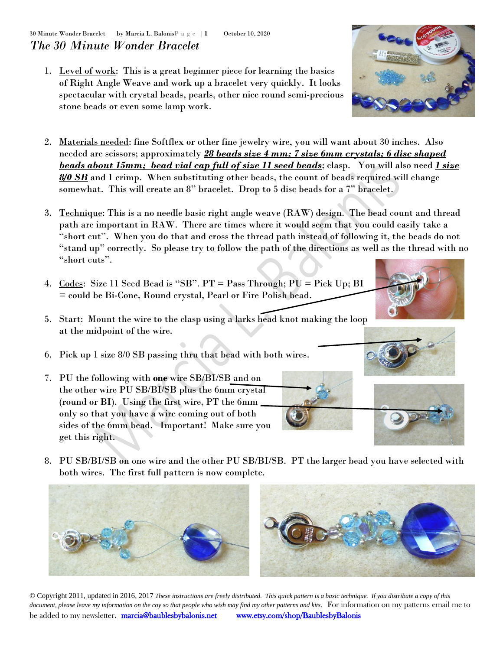1. Level of work: This is a great beginner piece for learning the basics of Right Angle Weave and work up a bracelet very quickly. It looks spectacular with crystal beads, pearls, other nice round semi-precious stone beads or even some lamp work.



- 3. Technique: This is a no needle basic right angle weave (RAW) design. The bead count and thread path are important in RAW. There are times where it would seem that you could easily take a "short cut". When you do that and cross the thread path instead of following it, the beads do not "stand up" correctly. So please try to follow the path of the directions as well as the thread with no "short cuts".
- 4. Codes: Size 11 Seed Bead is "SB". PT = Pass Through; PU = Pick Up; BI = could be Bi-Cone, Round crystal, Pearl or Fire Polish bead.
- 5. Start: Mount the wire to the clasp using a larks head knot making the loop at the midpoint of the wire.
- 6. Pick up 1 size 8/0 SB passing thru that bead with both wires.
- 7. PU the following with **one** wire SB/BI/SB and on the other wire PU SB/BI/SB plus the 6mm crystal (round or BI). Using the first wire, PT the 6mm only so that you have a wire coming out of both sides of the 6mm bead. Important! Make sure you get this right.
- 8. PU SB/BI/SB on one wire and the other PU SB/BI/SB. PT the larger bead you have selected with both wires. The first full pattern is now complete.